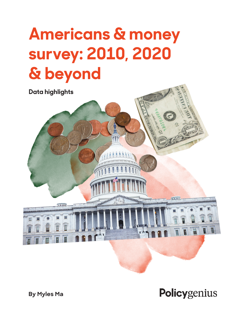

Policygenius

**By Myles Ma**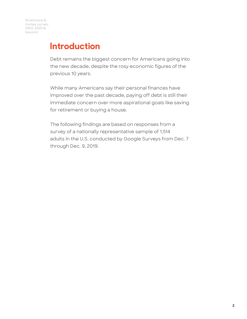#### **Introduction**

Debt remains the biggest concern for Americans going into the new decade, despite the rosy economic figures of the previous 10 years.

While many Americans say their personal finances have improved over the past decade, paying off debt is still their immediate concern over more aspirational goals like saving for retirement or buying a house.

The following findings are based on responses from a survey of a nationally representative sample of 1,514 adults in the U.S. conducted by Google Surveys from Dec. 7 through Dec. 9, 2019.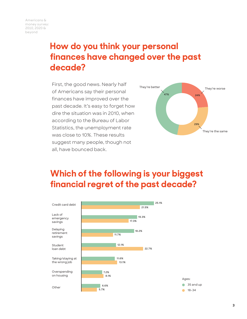## **How do you think your personal finances have changed over the past decade?**

First, the good news. Nearly half of Americans say their personal finances have improved over the past decade. It's easy to forget how dire the situation was in 2010, when according to the Bureau of Labor Statistics, the unemployment rate was close to 10%. These results suggest many people, though not all, have bounced back.



### **Which of the following is your biggest financial regret of the past decade?**

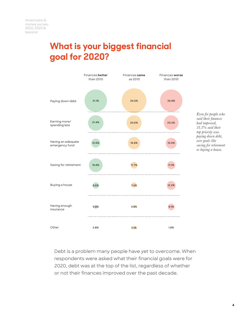## **What is your biggest financial goal for 2020?**



*Even for people who said their finances had improved, 31.1% said their top priority was paying down debt, over goals like saving for retirement or buying a house.*

Debt is a problem many people have yet to overcome. When respondents were asked what their financial goals were for 2020, debt was at the top of the list, regardless of whether or not their finances improved over the past decade.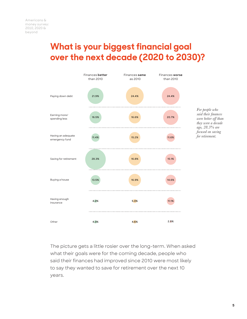#### **What is your biggest financial goal over the next decade (2020 to 2030)?**



The picture gets a little rosier over the long-term. When asked what their goals were for the coming decade, people who said their finances had improved since 2010 were most likely to say they wanted to save for retirement over the next 10 years.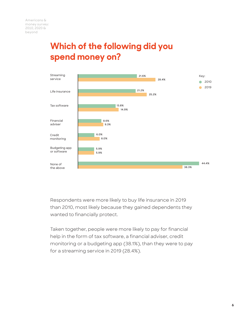## **Which of the following did you spend money on?**



Respondents were more likely to buy life insurance in 2019 than 2010, most likely because they gained dependents they wanted to financially protect.

Taken together, people were more likely to pay for financial help in the form of tax software, a financial adviser, credit monitoring or a budgeting app (38.1%), than they were to pay for a streaming service in 2019 (28.4%).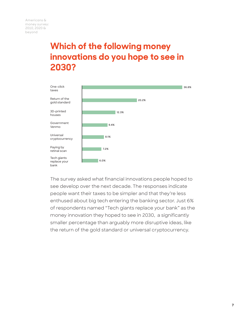## **Which of the following money innovations do you hope to see in 2030?**



The survey asked what financial innovations people hoped to see develop over the next decade. The responses indicate people want their taxes to be simpler and that they're less enthused about big tech entering the banking sector. Just 6% of respondents named "Tech giants replace your bank" as the money innovation they hoped to see in 2030, a significantly smaller percentage than arguably more disruptive ideas, like the return of the gold standard or universal cryptocurrency.